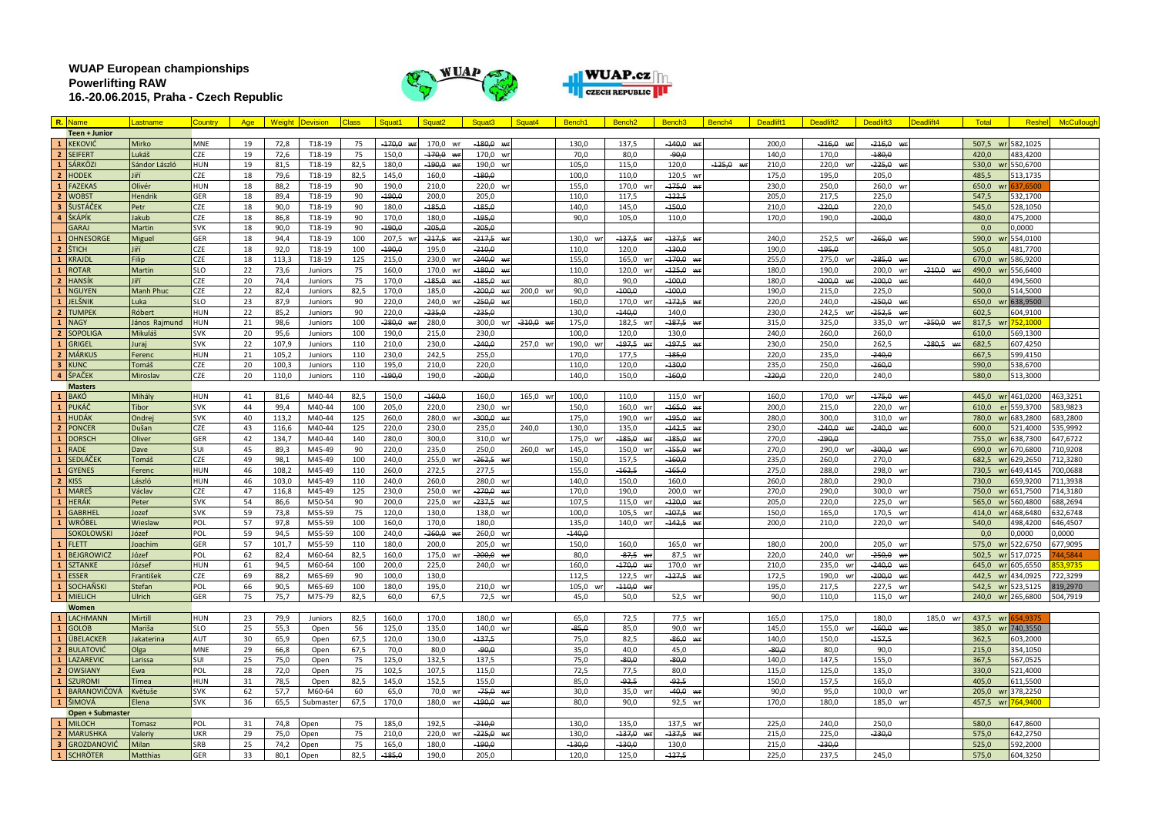**WUAP European championships Powerlifting RAW 16.-20.06.2015, Praha - Czech Republic**





|                         | R. Name              | Lastname         | Country    | Age | Weiaht | <b>Devision</b> |      | Squat′      | Squat2             | Squat <sub>3</sub> | Squat4      | Bench <sup>®</sup> | Bench <sub>2</sub> | Bench3           | Bench <sub>4</sub> | Deadlift1 | Deadlift <sub>2</sub>  | Deadlift3                       | Deadlift4   | Total       | Reshel            | <b>McCullough</b> |
|-------------------------|----------------------|------------------|------------|-----|--------|-----------------|------|-------------|--------------------|--------------------|-------------|--------------------|--------------------|------------------|--------------------|-----------|------------------------|---------------------------------|-------------|-------------|-------------------|-------------------|
|                         | <b>Teen + Junior</b> |                  |            |     |        |                 |      |             |                    |                    |             |                    |                    |                  |                    |           |                        |                                 |             |             |                   |                   |
| $\mathbf{1}$            | <b>KEKOVIĆ</b>       | Mirko            | MNE        | 19  | 72,8   | T18-19          | 75   | $-170,0$ wr | 170,0 wr           | $-180,0$ wr        |             | 130,0              | 137,5              | $-140,0$ wr      |                    | 200,0     | $-216,0$ wr            | $-216,0$<br>WF                  |             |             | 507,5 wr 582,1025 |                   |
| $\overline{2}$          | <b>SEIFERT</b>       | Lukáš            | CZE        | 19  | 72,6   | T18-19          | 75   | 150,0       | $-170,0$ wr        | 170,0 wr           |             | 70,0               | 80,0               | م.وو۔            |                    | 140,0     | 170,0                  | $-180.0$                        |             | 420,0       | 483,4200          |                   |
| $\mathbf{1}$            | SÁRKÖZI              | Sándor László    | HUN        | 19  | 81,5   | T18-19          | 82,5 | 180,0       | -190.0             | 190.0<br>wr        |             | 105.0              | 115.0              | 120.0            | $-125.0$ wr        | 210.0     | 220.0 wr               | -225,0<br>$\overline{M}$        |             | 530,0       | wr 550,6700       |                   |
| $\overline{2}$          | <b>HODEK</b>         | liří             | CZE        | 18  | 79.6   | T18-19          | 82,5 | 145.0       | 160.0              | $-180.0$           |             | 100.0              | 110.0              | 120.5 wr         |                    | 175.0     | 195.0                  | 205.0                           |             | 485.5       | 513.1735          |                   |
| $\mathbf{1}$            | <b>FAZEKAS</b>       | Olivér           | <b>HUN</b> | 18  | 88.2   | T18-19          | 90   | 190.0       | 210.0              | 220.0              |             | 155.0              | 170.0              | $-175.0$         |                    | 230.0     | 250.0                  | 260.0<br>WI                     |             | 650.0<br>wr | 37.6500           |                   |
| $\overline{2}$          | <b>WOBST</b>         | <b>Hendrik</b>   | GER        | 18  | 89,4   | T18-19          | 90   | $-190.0$    | 200,0              | 205,0              |             | 110,0              | 117,5              | $-122,5$         |                    | 205,0     | 217,5                  | 225,0                           |             | 547,5       | 532,1700          |                   |
| $\overline{\mathbf{3}}$ | ŠUSTÁČEK             | Petr             | CZE        | 18  | 90,0   | T18-19          | 90   | 180,0       | $-185,0$           | $-185.0$           |             | 140.0              | 145,0              | $-150,0$         |                    | 210.0     | $-220,0$               | 220,0                           |             | 545,0       | 528,1050          |                   |
| $\Delta$                | ŠKÁPÍK               | Jakub            | CZE        | 18  | 86,8   | T18-19          | 90   | 170,0       | 180,0              | $-195,0$           |             | 90,0               | 105,0              | 110,0            |                    | 170,0     | 190,0                  | $-200,0$                        |             | 480,0       | 475,2000          |                   |
|                         | GARAJ                | Martin           | <b>SVK</b> | 18  | 90.0   | T18-19          | 90   | -190.0      | $-205.0$           | $-205.0$           |             |                    |                    |                  |                    |           |                        |                                 |             | 0.0         | 0.0000            |                   |
| $\overline{1}$          | <b>OHNESORGE</b>     | Miguel           | GER        | 18  | 94,4   | T18-19          | 100  | 207,5       | $-217,5$           | $-217,5$           |             | 130,0              | $-137,5$ wi        | $-137,5$         |                    | 240,0     | 252,5 wi               | $-265,0$ $w_1$                  |             | 590,0       | 554,0100          |                   |
| $\overline{2}$          | ŠTICH                | Jiří             | CZE        | 18  | 92,0   | T18-19          | 100  | $-190.0$    | 195,0              | $-210.0$           |             | 110.0              | 120,0              | $-130,0$         |                    | 190,0     | $-195,0$               |                                 |             | 505,0       | 481,7700          |                   |
|                         | 1 KRAJDI             | Filip            | <b>CZE</b> | 18  | 113,3  | T18-19          | 125  | 215,0       | 230,0              | $-240.0$ wr        |             | 155,0              | 165,0 wr           | $-170.0$         |                    | 255,0     | 275,0 wr               | $-285.0$ wr                     |             | 670,0       | 586,9200          |                   |
| $\mathbf{1}$            | <b>ROTAR</b>         | Martin           | SLO        | 22  | 73,6   | Juniors         | 75   | 160,0       | 170,0 wr           | $-180,0$ wr        |             | 110,0              | 120,0 wr           | $-125,0$ wr      |                    | 180,0     | 190,0                  | 200,0 wr                        | $-210,0$ wr | 490,0       | wr 556,6400       |                   |
| $\overline{2}$          | <b>HANSÍK</b>        | Jiří             | CZE        | 20  | 74,4   | Juniors         | 75   | 170,0       | $-185,0$ wr        | $-185.0$<br>Mr     |             | 80,0               | 90,0               | $-100,0$         |                    | 180,0     | $-200,0$<br><b>MID</b> | -200,0<br>MIL                   |             | 440,0       | 494,5600          |                   |
| $\mathbf{1}$            | <b>NGUYEN</b>        | <b>Manh Phuc</b> | CZE        | 22  | 82,4   | Juniors         | 82.5 | 170.0       | 185.0              | 200.0 wr           | 200,0 wr    | 90.0               | $-100.0$           | $-100.0$         |                    | 190.0     | 215.0                  | 225.0                           |             | 500.0       | 514.5000          |                   |
| $\mathbf{1}$            | JELŠNIK              | Luka             | <b>SLO</b> | 23  | 87.9   | Juniors         | 90   | 220.0       | 240.0              | -250.0             |             | 160.0              | 170.0              | $-172.5 w$       |                    | 220.0     | 240.0                  | -250.0<br>$\boldsymbol{\omega}$ |             | 650.0       | 638,9500          |                   |
| $\overline{2}$          | <b>TUMPEK</b>        | Róbert           | <b>HUN</b> | 22  | 85.2   | Juniors         | 90   | 220.0       | $-235.0$           | $-235.0$           |             | 130.0              | $-440.0$           | 140.0            |                    | 230.0     | 242.5<br><b>WI</b>     | $-252.5$<br>MIF                 |             | 602.5       | 604.9100          |                   |
| $\mathbf{1}$            | <b>NAGY</b>          | János Rajmund    | HUN        | 21  | 98,6   | Juniors         | 100  | -280,0      | 280,0              | 300,0              | $-310,0$ wr | 175,0              | 182,5 wr           | $-187,5$ w       |                    | 315,0     | 325,0                  | 335,0<br><b>W</b>               | $-350,0$ wr | 817,5       | 752.1000          |                   |
| $\overline{2}$          | <b>SOPOLIGA</b>      | Mikuláš          | <b>SVK</b> | 20  | 95.6   | Juniors         | 100  | 190.0       | 215,0              | 230,0              |             | 100.0              | 120.0              | 130.0            |                    | 240,0     | 260,0                  | 260.0                           |             | 610.0       | 569,1300          |                   |
| $\mathbf{1}$            | <b>GRIGEL</b>        |                  | SVK        | 22  | 107,9  | Juniors         | 110  | 210,0       | 230,0              | $-240,0$           | 257,0 wr    | 190,0              | $-197,5$ wi        | $-197,5$ w       |                    | 230,0     | 250,0                  | 262,5                           |             | 682,5       | 607,4250          |                   |
| $\overline{2}$          | <b>MÁRKUS</b>        | Juraj            | <b>HUN</b> | 21  | 105.2  |                 |      | 230.0       |                    | 255.0              |             | 170.0              | 177.5              | $-185.0$         |                    | 220.0     | 235.0                  | $-240.0$                        | -280,5 WH   | 667.5       |                   |                   |
|                         |                      | Ferenc           |            |     |        | Juniors         | 110  |             | 242,5              |                    |             |                    |                    |                  |                    |           |                        |                                 |             |             | 599,4150          |                   |
| $\overline{\mathbf{3}}$ | <b>KUNC</b>          | Tomáš            | CZE        | 20  | 100,3  | Juniors         | 110  | 195,0       | 210,0              | 220,0              |             | 110.0              | 120,0              | $-130,0$         |                    | 235,0     | 250,0                  | $-260.0$                        |             | 590,0       | 538,6700          |                   |
|                         | 4 ŠPAČEK             | Miroslav         | <b>CZE</b> | 20  | 110,0  | Juniors         | 110  | $-190,0$    | 190,0              | $-200.0$           |             | 140,0              | 150,0              | $-160,0$         |                    | $-220,0$  | 220,0                  | 240,0                           |             | 580,0       | 513,3000          |                   |
|                         | <b>Masters</b>       |                  |            |     |        |                 |      |             |                    |                    |             |                    |                    |                  |                    |           |                        |                                 |             |             |                   |                   |
| $\overline{1}$          | <b>BAKÓ</b>          | Mihály           | <b>HUN</b> | 41  | 81,6   | M40-44          | 82,5 | 150,0       | $-160,0$           | 160,0              | 165,0 wr    | 100,0              | 110,0              | 115.0 wr         |                    | 160,0     | 170,0 wr               | $-175,0$ wr                     |             |             | 445,0 wr 461,0200 | 463,3251          |
|                         | 1 PUKÁČ              | Tibor            | <b>SVK</b> | 44  | 99,4   | M40-44          | 100  | 205,0       | 220,0              | 230,0 wr           |             | 150,0              | 160,0 wr           | $-165,0$ wr      |                    | 200,0     | 215,0                  | 220,0 wr                        |             | 610.0       | er 559,3700       | 583,9823          |
| $\mathbf{1}$            | <b>HUDÁK</b>         | Ondrej           | <b>SVK</b> | 40  | 113.2  | M40-44          | 125  | 260.0       | 280.0<br><b>MI</b> | $-300.0$           |             | 175.0              | 190.0 wr           | $-195.0$ wr      |                    | 280.0     | 300.0                  | 310.0<br>wr                     |             | 780.0       | wr 683,2800       | 683.2800          |
| $\overline{2}$          | <b>PONCER</b>        | Dušan            | CZE        | 43  | 116.6  | M40-44          | 125  | 220.0       | 230.0              | 235.0              | 240.0       | 130.0              | 135.0              | $-142.5$ wr      |                    | 230.0     | $-240.0$ wr            | $-240.0$ wr                     |             | 600.0       | 521.4000          | 535.9992          |
| $\mathbf{1}$            | <b>DORSCH</b>        | Oliver           | GER        | 42  | 134.7  | M40-44          | 140  | 280.0       | 300.0              | 310.0              |             | 175.0 w            | $-185.0$ wi        | $-185.0$ wr      |                    | 270.0     | $-290.0$               |                                 |             | 755.0       | wr 638.7300       | 647.6722          |
| $\mathbf{1}$            | <b>RADE</b>          | Dave             | SUI        | 45  | 89,3   | M45-49          | 90   | 220,0       | 235,0              | 250,0              | 260,0 wr    | 145,0              | 150,0              | $-155,0$         |                    | 270,0     | 290,0                  | -300,0                          |             | 690.0       | 670,6800          | 10,9208           |
| $\mathbf{1}$            | SEDLÁČEK             | Tomáš            | CZE        | 49  | 98.1   | M45-49          | 100  | 240.0       | 255,0              | $-262,5$ wr        |             | 150.0              | 157,5              | $-160.0$         |                    | 235,0     | 260,0                  | 270.0                           |             | 682.5<br>wr | 629,2650          | 12,3280           |
| $\mathbf{1}$            | <b>GYENES</b>        | Ferenc           | HUN        | 46  | 108,2  | M45-49          | 110  | 260,0       | 272,5              | 277,5              |             | 155,0              | $-162,5$           | $-165,0$         |                    | 275,0     | 288,0                  | 298,0                           |             | 730,5 wr    | 649,4145          | 700,0688          |
| $\overline{2}$          | <b>KISS</b>          | László           | <b>HUN</b> | 46  | 103.0  | M45-49          | 110  | 240.0       | 260.0              | 280.0 wr           |             | 140.0              | 150.0              | 160.0            |                    | 260.0     | 280.0                  | 290.0                           |             | 730.0       | 659.9200          | 711.3938          |
| $\mathbf{1}$            | MAREŠ                | Václav           | CZE        | 47  | 116,8  | M45-49          | 125  | 230,0       | 250,0              | -270,0<br>144      |             | 170,0              | 190.0              | 200,0 w          |                    | 270,0     | 290,0                  | 300,0<br><b>WI</b>              |             | 750,0       | 651,7500          | 714,3180          |
| $\mathbf{1}$            | HERÁK                | Peter            | <b>SVK</b> | 54  | 86,6   | M50-54          | 90   | 200.0       | 225,0 wr           | $-237,5$ wr        |             | 107,5              | 115,0 wr           | $-120,0$ wr      |                    | 205,0     | 220,0                  | 225,0 wr                        |             | 565,0<br>wr | 560,4800          | 688,2694          |
| $\overline{1}$          | <b>GABRHEI</b>       | Jozef            | <b>SVK</b> | 59  | 73,8   | M55-59          | 75   | 120,0       | 130,0              | 138,0 wr           |             | 100,0              | 105,5 wr           | $-107,5$ wr      |                    | 150,0     | 165,0                  | 170,5 wr                        |             | 414,0       | wr 468,6480       | 632,6748          |
| $\mathbf{1}$            | WRÓBEL               | Wieslaw          | POL        | 57  | 97,8   | M55-59          | 100  | 160,0       | 170,0              | 180.0              |             | 135,0              | 140,0 wr           | $-142,5$ wr      |                    | 200,0     | 210,0                  | 220,0 wr                        |             | 540,0       | 498,4200          | 646,4507          |
|                         | <b>SOKOLOWSKI</b>    | Józef            | POL        | 59  | 94,5   | M55-59          | 100  | 240,0       | -260,0             | 260,0 wr           |             | $-140.0$           |                    |                  |                    |           |                        |                                 |             | 0,0         | 0,0000            | 0,0000            |
| $\overline{1}$          | <b>FLETT</b>         | Joachim          | GER        | 57  | 101.7  | M55-59          | 110  | 180.0       | 200.0              | 205.0 wr           |             | 150.0              | 160.0              | 165.0 wr         |                    | 180.0     | 200.0                  | 205.0 wr                        |             | 575.0       | wr 522.6750       | 677.9095          |
| $\mathbf{1}$            | <b>BEJGROWICZ</b>    | Józef            | POL        | 62  | 82.4   | M60-64          | 82,5 | 160.0       | 175,0              | $-200.0$ wr        |             | 80.0               | $-87.5$ wr         | 87,5 wr          |                    | 220.0     | 240.0 wr               | -250.0<br>w                     |             | 502.5       | wr 517.0725       | 44.5844           |
| $\mathbf{1}$            | <b>SZTANKE</b>       | József           | <b>HUN</b> | 61  | 94.5   | M60-64          | 100  | 200.0       | 225.0              | 240.0 wr           |             | 160.0              | $-170.0$ wr        | 170.0 wr         |                    | 210.0     | 235.0 wr               | $-240.0$ wr                     |             |             | 645.0 wr 605.6550 | 3.9735            |
| $\mathbf{1}$            | <b>ESSER</b>         | František        | CZE        | 69  | 88,2   | M65-69          | 90   | 100,0       | 130,0              |                    |             | 112,5              | 122,5 wr           | $-127,5$ wr      |                    | 172,5     | 190,0 wr               | $-200,0$ wr                     |             | 442.5       | wr 434,0925       | 22,3299           |
|                         | <b>SOCHAŇSKI</b>     | Stefan           | POL        | 66  | 90.5   | M65-69          | 100  | 180,0       | 195,0              | 210,0 wr           |             | 105,0              | $-110,0$ wr        |                  |                    | 195,0     | 217,5                  | 227,5<br><b>W</b>               |             | 542.5       | wr 523,5125       | 319,2970          |
| $\mathbf{1}$            | <b>MIELICH</b>       | Ulrich           | GER        | 75  | 75,7   | M75-79          | 82,5 | 60,0        | 67,5               | 72,5 wr            |             | 45,0               | 50,0               | 52,5 wr          |                    | 90,0      | 110,0                  | 115,0 wr                        |             |             | 240,0 wr 265,6800 | 504,7919          |
|                         | Women                |                  |            |     |        |                 |      |             |                    |                    |             |                    |                    |                  |                    |           |                        |                                 |             |             |                   |                   |
| $\mathbf{1}$            | LACHMANN             | Mirtill          | HUN        | 23  | 79,9   | Juniors         | 82,5 | 160,0       | 170,0              | 180,0 wr           |             | 65,0               | 72,5               | 77,5 wr          |                    | 165,0     | 175,0                  | 180.0                           | 185,0 wr    |             | 437,5 wr 654,9375 |                   |
| $\mathbf{1}$            | <b>GOLOB</b>         | Mariša           | SLO        | 25  | 55,3   | Open            | 56   | 125,0       | 135,0              | 140,0              |             | $-85,0$            | 85,0               | 90,0<br><b>W</b> |                    | 145,0     | 155,0<br>WI            | -160,0<br>w                     |             | 385,0       | wr 740,3550       |                   |
| $\mathbf{1}$            | ÜBELACKER            | Jakaterina       | AUT        | 30  | 65,9   | Open            | 67,5 | 120,0       | 130,0              | $-137,5$           |             | 75,0               | 82,5               | $-86,0$ wr       |                    | 140,0     | 150,0                  | $-157,5$                        |             | 362,5       | 603,2000          |                   |
| $\overline{2}$          | <b>BULATOVIĆ</b>     | Olga             | MNE        | 29  | 66,8   | Open            | 67,5 | 70,0        | 80,0               | $-90,0$            |             | 35,0               | 40.0               | 45,0             |                    | $-80,0$   | 80,0                   | 90,0                            |             | 215,0       | 354,1050          |                   |
| $\mathbf{1}$            | LAZAREVIC            | Larissa          | SUI        | 25  | 75,0   | Open            | 75   | 125,0       | 132,5              | 137,5              |             | 75,0               | $-80,0$            | $-80,0$          |                    | 140,0     | 147,5                  | 155,0                           |             | 367,5       | 567,0525          |                   |
| $\overline{2}$          | <b>OWSIANY</b>       | Ewa              | POL        | 28  | 72.0   | Open            | 75   | 102.5       | 107.5              | 115.0              |             | 72.5               | 77.5               | 80.0             |                    | 115.0     | 125.0                  | 135.0                           |             | 330.0       | 521.4000          |                   |
| $\overline{1}$          | <b>SZUROMI</b>       | Tímea            | HUN        | 31  | 78.5   | Open            | 82.5 | 145.0       | 152.5              | 155.0              |             | 85.0               | $-92.5$            | $-92.5$          |                    | 150.0     | 157.5                  | 165.0                           |             | 405.0       | 611.5500          |                   |
| $\mathbf{1}$            | <b>BARANOVIČOVÁ</b>  | Květuše          | <b>SVK</b> | 62  | 57,7   | M60-64          | 60   | 65,0        | 70,0               | -75,0              |             | 30,0               | 35,0 wr            | $-40,0$ w        |                    | 90,0      | 95,0                   | 100,0                           |             | 205,0       | wr 378,2250       |                   |
|                         | 1 ŠIMOVÁ             | Elena            | <b>SVK</b> | 36  | 65.5   | Submaster       | 67,5 | 170,0       | 180,0<br>wr        | $-190,0$           |             | 80,0               | 90.0               | 92.5 wr          |                    | 170,0     | 180,0                  | 185,0<br>WI                     |             |             | 457,5 wr 764,9400 |                   |
|                         | Open + Submaster     |                  |            |     |        |                 |      |             |                    |                    |             |                    |                    |                  |                    |           |                        |                                 |             |             |                   |                   |
|                         | <b>MILOCH</b>        | Tomasz           | POL        | 31  | 74,8   | Open            | 75   | 185,0       | 192,5              | $-210,0$           |             | 130,0              | 135,0              | 137,5 wr         |                    | 225,0     | 240,0                  | 250,0                           |             | 580,0       | 647,8600          |                   |
| $\overline{2}$          | <b>MARUSHKA</b>      | Valeriv          | UKR        | 29  | 75,0   | Open            | 75   | 210.0       | 220.0 WI           | $-225.0$           |             | 130.0              | $-137,0$ wr        | $-137,5$<br>AAI  |                    | 215.0     | 225.0                  | $-230.0$                        |             | 575.0       | 642,2750          |                   |
| $\overline{3}$          | GROZDANOVIĆ          | Milan            | SRB        | 25  | 74,2   | Open            | 75   | 165,0       | 180,0              | $-190.0$           |             | $-130.0$           | $-430.0$           | 130,0            |                    | 215,0     | $-230,0$               |                                 |             | 525,0       | 592,2000          |                   |
|                         | 1 SCHRÖTER           | Matthias         | GER        | 33  | 80,1   | Open            | 82,5 | $-185,0$    | 190,0              | 205,0              |             | 120,0              | 125,0              | $-127,5$         |                    | 225,0     | 237,5                  | 245,0                           |             | 575,0       | 604,3250          |                   |
|                         |                      |                  |            |     |        |                 |      |             |                    |                    |             |                    |                    |                  |                    |           |                        |                                 |             |             |                   |                   |